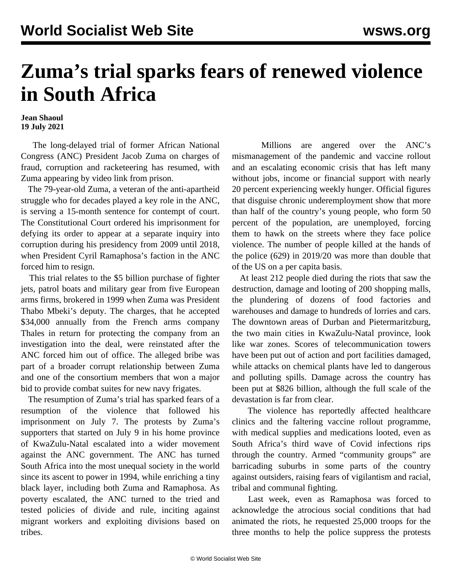## **Zuma's trial sparks fears of renewed violence in South Africa**

## **Jean Shaoul 19 July 2021**

 The long-delayed trial of former African National Congress (ANC) President Jacob Zuma on charges of fraud, corruption and racketeering has resumed, with Zuma appearing by video link from prison.

 The 79-year-old Zuma, a veteran of the anti-apartheid struggle who for decades played a key role in the ANC, is serving a 15-month sentence for contempt of court. The Constitutional Court ordered his imprisonment for defying its order to appear at a separate inquiry into corruption during his presidency from 2009 until 2018, when President Cyril Ramaphosa's faction in the ANC forced him to resign.

 This trial relates to the \$5 billion purchase of fighter jets, patrol boats and military gear from five European arms firms, brokered in 1999 when Zuma was President Thabo Mbeki's deputy. The charges, that he accepted \$34,000 annually from the French arms company Thales in return for protecting the company from an investigation into the deal, were reinstated after the ANC forced him out of office. The alleged bribe was part of a broader corrupt relationship between Zuma and one of the consortium members that won a major bid to provide combat suites for new navy frigates.

 The resumption of Zuma's trial has sparked fears of a resumption of the violence that followed his imprisonment on July 7. The protests by Zuma's supporters that started on July 9 in his home province of KwaZulu-Natal escalated into a wider movement against the ANC government. The ANC has turned South Africa into the most unequal society in the world since its ascent to power in 1994, while enriching a tiny black layer, including both Zuma and Ramaphosa. As poverty escalated, the ANC turned to the tried and tested policies of divide and rule, inciting against migrant workers and exploiting divisions based on tribes.

 Millions are angered over the ANC's mismanagement of the pandemic and vaccine rollout and an escalating economic crisis that has left many without jobs, income or financial support with nearly 20 percent experiencing weekly hunger. Official figures that disguise chronic underemployment show that more than half of the country's young people, who form 50 percent of the population, are unemployed, forcing them to hawk on the streets where they face police violence. The number of people killed at the hands of the police (629) in 2019/20 was more than double that of the US on a per capita basis.

 At least 212 people died during the riots that saw the destruction, damage and looting of 200 shopping malls, the plundering of dozens of food factories and warehouses and damage to hundreds of lorries and cars. The downtown areas of Durban and Pietermaritzburg, the two main cities in KwaZulu-Natal province, look like war zones. Scores of telecommunication towers have been put out of action and port facilities damaged, while attacks on chemical plants have led to dangerous and polluting spills. Damage across the country has been put at \$826 billion, although the full scale of the devastation is far from clear.

 The violence has reportedly affected healthcare clinics and the faltering vaccine rollout programme, with medical supplies and medications looted, even as South Africa's third wave of Covid infections rips through the country. Armed "community groups" are barricading suburbs in some parts of the country against outsiders, raising fears of vigilantism and racial, tribal and communal fighting.

 Last week, even as Ramaphosa was forced to acknowledge the atrocious social conditions that had animated the riots, he requested 25,000 troops for the three months to help the police suppress the protests